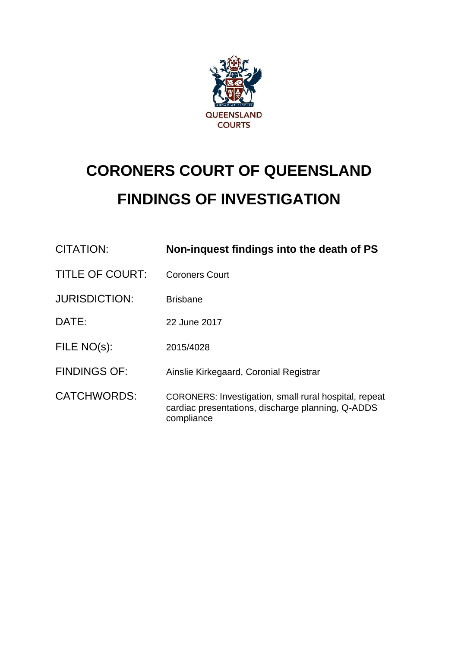

# **CORONERS COURT OF QUEENSLAND FINDINGS OF INVESTIGATION**

| CITATION:              | Non-inquest findings into the death of PS                                                                                |
|------------------------|--------------------------------------------------------------------------------------------------------------------------|
| <b>TITLE OF COURT:</b> | <b>Coroners Court</b>                                                                                                    |
| <b>JURISDICTION:</b>   | <b>Brisbane</b>                                                                                                          |
| DATE:                  | 22 June 2017                                                                                                             |
| FILE NO(s):            | 2015/4028                                                                                                                |
| <b>FINDINGS OF:</b>    | Ainslie Kirkegaard, Coronial Registrar                                                                                   |
| <b>CATCHWORDS:</b>     | CORONERS: Investigation, small rural hospital, repeat<br>cardiac presentations, discharge planning, Q-ADDS<br>compliance |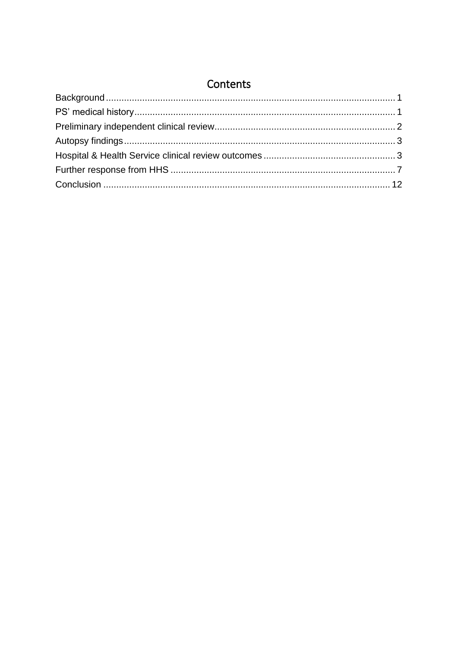## Contents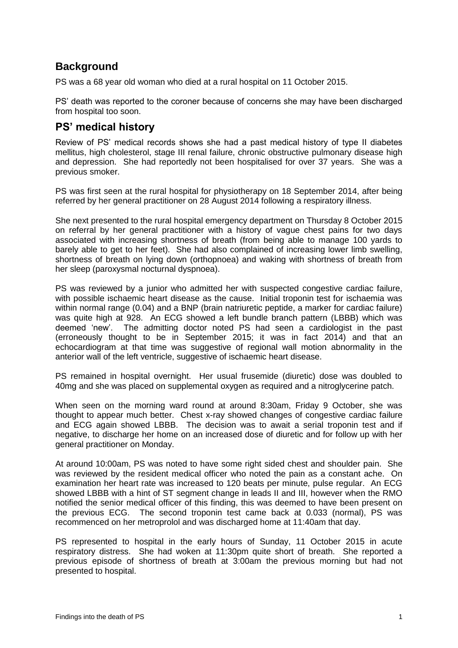## <span id="page-2-0"></span>**Background**

PS was a 68 year old woman who died at a rural hospital on 11 October 2015.

PS' death was reported to the coroner because of concerns she may have been discharged from hospital too soon.

## <span id="page-2-1"></span>**PS' medical history**

Review of PS' medical records shows she had a past medical history of type II diabetes mellitus, high cholesterol, stage III renal failure, chronic obstructive pulmonary disease high and depression. She had reportedly not been hospitalised for over 37 years. She was a previous smoker.

PS was first seen at the rural hospital for physiotherapy on 18 September 2014, after being referred by her general practitioner on 28 August 2014 following a respiratory illness.

She next presented to the rural hospital emergency department on Thursday 8 October 2015 on referral by her general practitioner with a history of vague chest pains for two days associated with increasing shortness of breath (from being able to manage 100 yards to barely able to get to her feet). She had also complained of increasing lower limb swelling, shortness of breath on lying down (orthopnoea) and waking with shortness of breath from her sleep (paroxysmal nocturnal dyspnoea).

PS was reviewed by a junior who admitted her with suspected congestive cardiac failure, with possible ischaemic heart disease as the cause. Initial troponin test for ischaemia was within normal range (0.04) and a BNP (brain natriuretic peptide, a marker for cardiac failure) was quite high at 928. An ECG showed a left bundle branch pattern (LBBB) which was deemed 'new'. The admitting doctor noted PS had seen a cardiologist in the past (erroneously thought to be in September 2015; it was in fact 2014) and that an echocardiogram at that time was suggestive of regional wall motion abnormality in the anterior wall of the left ventricle, suggestive of ischaemic heart disease.

PS remained in hospital overnight. Her usual frusemide (diuretic) dose was doubled to 40mg and she was placed on supplemental oxygen as required and a nitroglycerine patch.

When seen on the morning ward round at around 8:30am, Friday 9 October, she was thought to appear much better. Chest x-ray showed changes of congestive cardiac failure and ECG again showed LBBB. The decision was to await a serial troponin test and if negative, to discharge her home on an increased dose of diuretic and for follow up with her general practitioner on Monday.

At around 10:00am, PS was noted to have some right sided chest and shoulder pain. She was reviewed by the resident medical officer who noted the pain as a constant ache. On examination her heart rate was increased to 120 beats per minute, pulse regular. An ECG showed LBBB with a hint of ST segment change in leads II and III, however when the RMO notified the senior medical officer of this finding, this was deemed to have been present on the previous ECG. The second troponin test came back at 0.033 (normal), PS was recommenced on her metroprolol and was discharged home at 11:40am that day.

PS represented to hospital in the early hours of Sunday, 11 October 2015 in acute respiratory distress. She had woken at 11:30pm quite short of breath. She reported a previous episode of shortness of breath at 3:00am the previous morning but had not presented to hospital.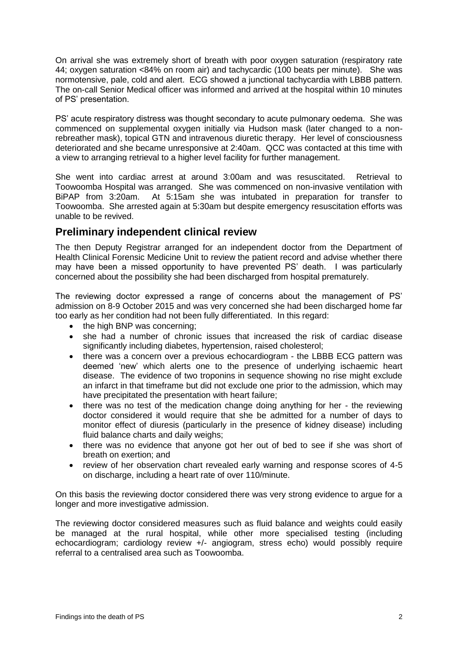On arrival she was extremely short of breath with poor oxygen saturation (respiratory rate 44; oxygen saturation <84% on room air) and tachycardic (100 beats per minute). She was normotensive, pale, cold and alert. ECG showed a junctional tachycardia with LBBB pattern. The on-call Senior Medical officer was informed and arrived at the hospital within 10 minutes of PS' presentation.

PS' acute respiratory distress was thought secondary to acute pulmonary oedema. She was commenced on supplemental oxygen initially via Hudson mask (later changed to a nonrebreather mask), topical GTN and intravenous diuretic therapy. Her level of consciousness deteriorated and she became unresponsive at 2:40am. QCC was contacted at this time with a view to arranging retrieval to a higher level facility for further management.

She went into cardiac arrest at around 3:00am and was resuscitated. Retrieval to Toowoomba Hospital was arranged. She was commenced on non-invasive ventilation with BiPAP from 3:20am. At 5:15am she was intubated in preparation for transfer to Toowoomba. She arrested again at 5:30am but despite emergency resuscitation efforts was unable to be revived.

## <span id="page-3-0"></span>**Preliminary independent clinical review**

The then Deputy Registrar arranged for an independent doctor from the Department of Health Clinical Forensic Medicine Unit to review the patient record and advise whether there may have been a missed opportunity to have prevented PS' death. I was particularly concerned about the possibility she had been discharged from hospital prematurely.

The reviewing doctor expressed a range of concerns about the management of PS' admission on 8-9 October 2015 and was very concerned she had been discharged home far too early as her condition had not been fully differentiated. In this regard:

- the high BNP was concerning:
- she had a number of chronic issues that increased the risk of cardiac disease significantly including diabetes, hypertension, raised cholesterol;
- there was a concern over a previous echocardiogram the LBBB ECG pattern was deemed 'new' which alerts one to the presence of underlying ischaemic heart disease. The evidence of two troponins in sequence showing no rise might exclude an infarct in that timeframe but did not exclude one prior to the admission, which may have precipitated the presentation with heart failure;
- there was no test of the medication change doing anything for her the reviewing doctor considered it would require that she be admitted for a number of days to monitor effect of diuresis (particularly in the presence of kidney disease) including fluid balance charts and daily weighs;
- there was no evidence that anyone got her out of bed to see if she was short of breath on exertion; and
- review of her observation chart revealed early warning and response scores of 4-5 on discharge, including a heart rate of over 110/minute.

On this basis the reviewing doctor considered there was very strong evidence to argue for a longer and more investigative admission.

The reviewing doctor considered measures such as fluid balance and weights could easily be managed at the rural hospital, while other more specialised testing (including echocardiogram; cardiology review +/- angiogram, stress echo) would possibly require referral to a centralised area such as Toowoomba.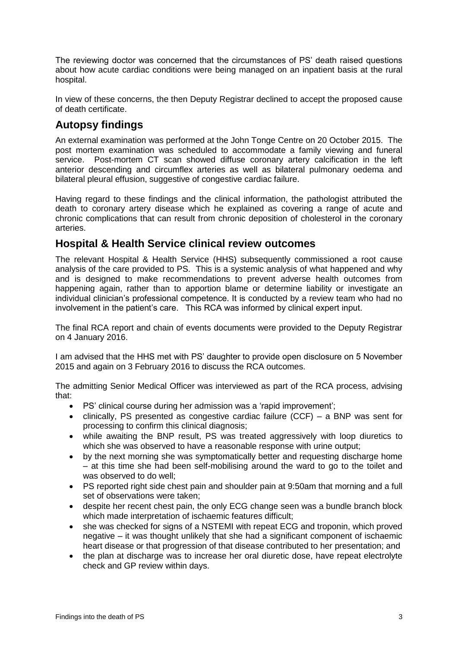The reviewing doctor was concerned that the circumstances of PS' death raised questions about how acute cardiac conditions were being managed on an inpatient basis at the rural hospital.

In view of these concerns, the then Deputy Registrar declined to accept the proposed cause of death certificate.

## <span id="page-4-0"></span>**Autopsy findings**

An external examination was performed at the John Tonge Centre on 20 October 2015. The post mortem examination was scheduled to accommodate a family viewing and funeral service. Post-mortem CT scan showed diffuse coronary artery calcification in the left anterior descending and circumflex arteries as well as bilateral pulmonary oedema and bilateral pleural effusion, suggestive of congestive cardiac failure.

Having regard to these findings and the clinical information, the pathologist attributed the death to coronary artery disease which he explained as covering a range of acute and chronic complications that can result from chronic deposition of cholesterol in the coronary arteries.

## <span id="page-4-1"></span>**Hospital & Health Service clinical review outcomes**

The relevant Hospital & Health Service (HHS) subsequently commissioned a root cause analysis of the care provided to PS. This is a systemic analysis of what happened and why and is designed to make recommendations to prevent adverse health outcomes from happening again, rather than to apportion blame or determine liability or investigate an individual clinician's professional competence. It is conducted by a review team who had no involvement in the patient's care. This RCA was informed by clinical expert input.

The final RCA report and chain of events documents were provided to the Deputy Registrar on 4 January 2016.

I am advised that the HHS met with PS' daughter to provide open disclosure on 5 November 2015 and again on 3 February 2016 to discuss the RCA outcomes.

The admitting Senior Medical Officer was interviewed as part of the RCA process, advising that:

- PS' clinical course during her admission was a 'rapid improvement';
- clinically, PS presented as congestive cardiac failure (CCF) a BNP was sent for processing to confirm this clinical diagnosis;
- while awaiting the BNP result, PS was treated aggressively with loop diuretics to which she was observed to have a reasonable response with urine output;
- by the next morning she was symptomatically better and requesting discharge home – at this time she had been self-mobilising around the ward to go to the toilet and was observed to do well;
- PS reported right side chest pain and shoulder pain at 9:50am that morning and a full set of observations were taken;
- despite her recent chest pain, the only ECG change seen was a bundle branch block which made interpretation of ischaemic features difficult;
- she was checked for signs of a NSTEMI with repeat ECG and troponin, which proved negative – it was thought unlikely that she had a significant component of ischaemic heart disease or that progression of that disease contributed to her presentation; and
- the plan at discharge was to increase her oral diuretic dose, have repeat electrolyte check and GP review within days.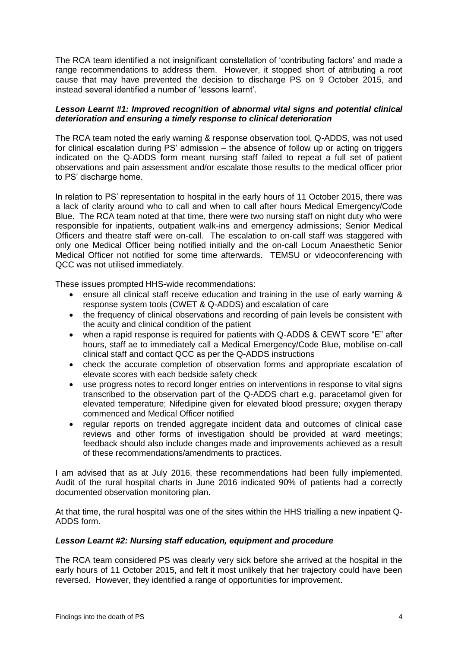The RCA team identified a not insignificant constellation of 'contributing factors' and made a range recommendations to address them. However, it stopped short of attributing a root cause that may have prevented the decision to discharge PS on 9 October 2015, and instead several identified a number of 'lessons learnt'.

#### *Lesson Learnt #1: Improved recognition of abnormal vital signs and potential clinical deterioration and ensuring a timely response to clinical deterioration*

The RCA team noted the early warning & response observation tool, Q-ADDS, was not used for clinical escalation during PS' admission – the absence of follow up or acting on triggers indicated on the Q-ADDS form meant nursing staff failed to repeat a full set of patient observations and pain assessment and/or escalate those results to the medical officer prior to PS' discharge home.

In relation to PS' representation to hospital in the early hours of 11 October 2015, there was a lack of clarity around who to call and when to call after hours Medical Emergency/Code Blue. The RCA team noted at that time, there were two nursing staff on night duty who were responsible for inpatients, outpatient walk-ins and emergency admissions; Senior Medical Officers and theatre staff were on-call. The escalation to on-call staff was staggered with only one Medical Officer being notified initially and the on-call Locum Anaesthetic Senior Medical Officer not notified for some time afterwards. TEMSU or videoconferencing with QCC was not utilised immediately.

These issues prompted HHS-wide recommendations:

- ensure all clinical staff receive education and training in the use of early warning & response system tools (CWET & Q-ADDS) and escalation of care
- the frequency of clinical observations and recording of pain levels be consistent with the acuity and clinical condition of the patient
- when a rapid response is required for patients with Q-ADDS & CEWT score "E" after hours, staff ae to immediately call a Medical Emergency/Code Blue, mobilise on-call clinical staff and contact QCC as per the Q-ADDS instructions
- check the accurate completion of observation forms and appropriate escalation of elevate scores with each bedside safety check
- use progress notes to record longer entries on interventions in response to vital signs transcribed to the observation part of the Q-ADDS chart e.g. paracetamol given for elevated temperature; Nifedipine given for elevated blood pressure; oxygen therapy commenced and Medical Officer notified
- regular reports on trended aggregate incident data and outcomes of clinical case reviews and other forms of investigation should be provided at ward meetings; feedback should also include changes made and improvements achieved as a result of these recommendations/amendments to practices.

I am advised that as at July 2016, these recommendations had been fully implemented. Audit of the rural hospital charts in June 2016 indicated 90% of patients had a correctly documented observation monitoring plan.

At that time, the rural hospital was one of the sites within the HHS trialling a new inpatient Q-ADDS form.

#### *Lesson Learnt #2: Nursing staff education, equipment and procedure*

The RCA team considered PS was clearly very sick before she arrived at the hospital in the early hours of 11 October 2015, and felt it most unlikely that her trajectory could have been reversed. However, they identified a range of opportunities for improvement.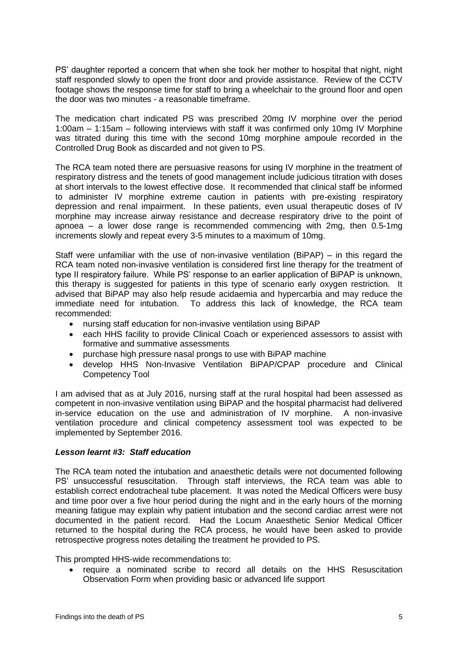PS' daughter reported a concern that when she took her mother to hospital that night, night staff responded slowly to open the front door and provide assistance. Review of the CCTV footage shows the response time for staff to bring a wheelchair to the ground floor and open the door was two minutes - a reasonable timeframe.

The medication chart indicated PS was prescribed 20mg IV morphine over the period 1:00am – 1:15am – following interviews with staff it was confirmed only 10mg IV Morphine was titrated during this time with the second 10mg morphine ampoule recorded in the Controlled Drug Book as discarded and not given to PS.

The RCA team noted there are persuasive reasons for using IV morphine in the treatment of respiratory distress and the tenets of good management include judicious titration with doses at short intervals to the lowest effective dose. It recommended that clinical staff be informed to administer IV morphine extreme caution in patients with pre-existing respiratory depression and renal impairment. In these patients, even usual therapeutic doses of IV morphine may increase airway resistance and decrease respiratory drive to the point of apnoea – a lower dose range is recommended commencing with 2mg, then 0.5-1mg increments slowly and repeat every 3-5 minutes to a maximum of 10mg.

Staff were unfamiliar with the use of non-invasive ventilation (BiPAP) – in this regard the RCA team noted non-invasive ventilation is considered first line therapy for the treatment of type II respiratory failure. While PS' response to an earlier application of BiPAP is unknown, this therapy is suggested for patients in this type of scenario early oxygen restriction. It advised that BiPAP may also help resude acidaemia and hypercarbia and may reduce the immediate need for intubation. To address this lack of knowledge, the RCA team recommended:

- nursing staff education for non-invasive ventilation using BiPAP
- each HHS facility to provide Clinical Coach or experienced assessors to assist with formative and summative assessments
- purchase high pressure nasal prongs to use with BiPAP machine
- develop HHS Non-Invasive Ventilation BiPAP/CPAP procedure and Clinical Competency Tool

I am advised that as at July 2016, nursing staff at the rural hospital had been assessed as competent in non-invasive ventilation using BiPAP and the hospital pharmacist had delivered in-service education on the use and administration of IV morphine. A non-invasive ventilation procedure and clinical competency assessment tool was expected to be implemented by September 2016.

#### *Lesson learnt #3: Staff education*

The RCA team noted the intubation and anaesthetic details were not documented following PS' unsuccessful resuscitation. Through staff interviews, the RCA team was able to establish correct endotracheal tube placement. It was noted the Medical Officers were busy and time poor over a five hour period during the night and in the early hours of the morning meaning fatigue may explain why patient intubation and the second cardiac arrest were not documented in the patient record. Had the Locum Anaesthetic Senior Medical Officer returned to the hospital during the RCA process, he would have been asked to provide retrospective progress notes detailing the treatment he provided to PS.

This prompted HHS-wide recommendations to:

 require a nominated scribe to record all details on the HHS Resuscitation Observation Form when providing basic or advanced life support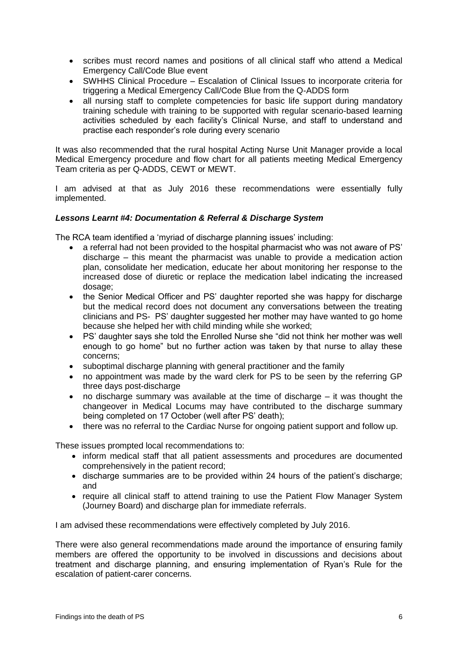- scribes must record names and positions of all clinical staff who attend a Medical Emergency Call/Code Blue event
- SWHHS Clinical Procedure Escalation of Clinical Issues to incorporate criteria for triggering a Medical Emergency Call/Code Blue from the Q-ADDS form
- all nursing staff to complete competencies for basic life support during mandatory training schedule with training to be supported with regular scenario-based learning activities scheduled by each facility's Clinical Nurse, and staff to understand and practise each responder's role during every scenario

It was also recommended that the rural hospital Acting Nurse Unit Manager provide a local Medical Emergency procedure and flow chart for all patients meeting Medical Emergency Team criteria as per Q-ADDS, CEWT or MEWT.

I am advised at that as July 2016 these recommendations were essentially fully implemented.

#### *Lessons Learnt #4: Documentation & Referral & Discharge System*

The RCA team identified a 'myriad of discharge planning issues' including:

- a referral had not been provided to the hospital pharmacist who was not aware of PS' discharge – this meant the pharmacist was unable to provide a medication action plan, consolidate her medication, educate her about monitoring her response to the increased dose of diuretic or replace the medication label indicating the increased dosage;
- the Senior Medical Officer and PS' daughter reported she was happy for discharge but the medical record does not document any conversations between the treating clinicians and PS- PS' daughter suggested her mother may have wanted to go home because she helped her with child minding while she worked;
- PS' daughter says she told the Enrolled Nurse she "did not think her mother was well enough to go home" but no further action was taken by that nurse to allay these concerns;
- suboptimal discharge planning with general practitioner and the family
- no appointment was made by the ward clerk for PS to be seen by the referring GP three days post-discharge
- no discharge summary was available at the time of discharge it was thought the changeover in Medical Locums may have contributed to the discharge summary being completed on 17 October (well after PS' death);
- there was no referral to the Cardiac Nurse for ongoing patient support and follow up.

These issues prompted local recommendations to:

- inform medical staff that all patient assessments and procedures are documented comprehensively in the patient record;
- discharge summaries are to be provided within 24 hours of the patient's discharge; and
- require all clinical staff to attend training to use the Patient Flow Manager System (Journey Board) and discharge plan for immediate referrals.

I am advised these recommendations were effectively completed by July 2016.

There were also general recommendations made around the importance of ensuring family members are offered the opportunity to be involved in discussions and decisions about treatment and discharge planning, and ensuring implementation of Ryan's Rule for the escalation of patient-carer concerns.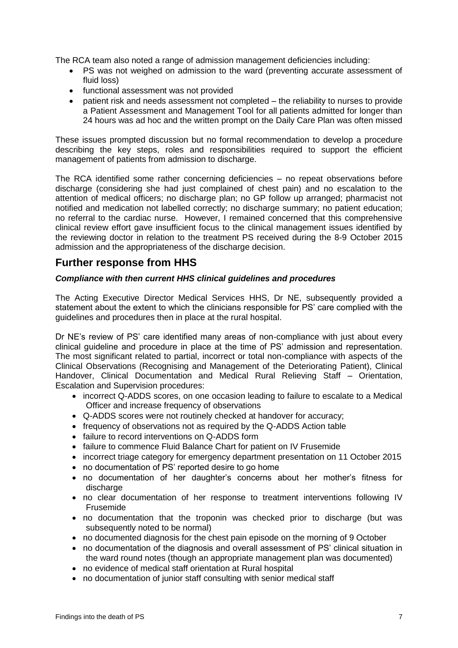The RCA team also noted a range of admission management deficiencies including:

- PS was not weighed on admission to the ward (preventing accurate assessment of fluid loss)
- functional assessment was not provided
- patient risk and needs assessment not completed the reliability to nurses to provide a Patient Assessment and Management Tool for all patients admitted for longer than 24 hours was ad hoc and the written prompt on the Daily Care Plan was often missed

These issues prompted discussion but no formal recommendation to develop a procedure describing the key steps, roles and responsibilities required to support the efficient management of patients from admission to discharge.

The RCA identified some rather concerning deficiencies – no repeat observations before discharge (considering she had just complained of chest pain) and no escalation to the attention of medical officers; no discharge plan; no GP follow up arranged; pharmacist not notified and medication not labelled correctly; no discharge summary; no patient education; no referral to the cardiac nurse. However, I remained concerned that this comprehensive clinical review effort gave insufficient focus to the clinical management issues identified by the reviewing doctor in relation to the treatment PS received during the 8-9 October 2015 admission and the appropriateness of the discharge decision.

## <span id="page-8-0"></span>**Further response from HHS**

#### *Compliance with then current HHS clinical guidelines and procedures*

The Acting Executive Director Medical Services HHS, Dr NE, subsequently provided a statement about the extent to which the clinicians responsible for PS' care complied with the guidelines and procedures then in place at the rural hospital.

Dr NE's review of PS' care identified many areas of non-compliance with just about every clinical guideline and procedure in place at the time of PS' admission and representation. The most significant related to partial, incorrect or total non-compliance with aspects of the Clinical Observations (Recognising and Management of the Deteriorating Patient), Clinical Handover, Clinical Documentation and Medical Rural Relieving Staff – Orientation, Escalation and Supervision procedures:

- incorrect Q-ADDS scores, on one occasion leading to failure to escalate to a Medical Officer and increase frequency of observations
- Q-ADDS scores were not routinely checked at handover for accuracy;
- frequency of observations not as required by the Q-ADDS Action table
- failure to record interventions on Q-ADDS form
- failure to commence Fluid Balance Chart for patient on IV Frusemide
- incorrect triage category for emergency department presentation on 11 October 2015
- no documentation of PS' reported desire to go home
- no documentation of her daughter's concerns about her mother's fitness for discharge
- no clear documentation of her response to treatment interventions following IV Frusemide
- no documentation that the troponin was checked prior to discharge (but was subsequently noted to be normal)
- no documented diagnosis for the chest pain episode on the morning of 9 October
- no documentation of the diagnosis and overall assessment of PS' clinical situation in the ward round notes (though an appropriate management plan was documented)
- no evidence of medical staff orientation at Rural hospital
- no documentation of junior staff consulting with senior medical staff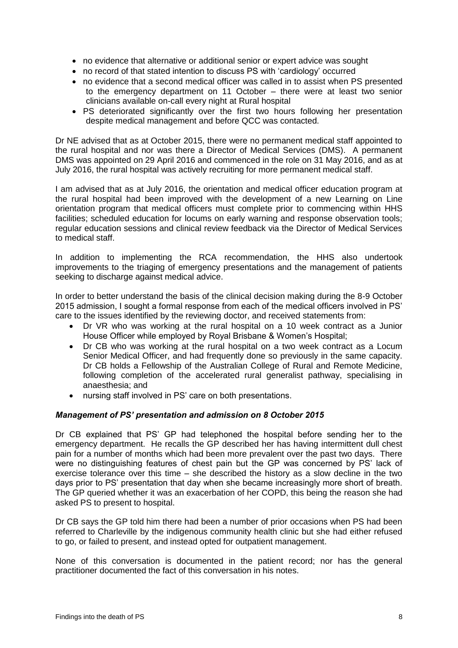- no evidence that alternative or additional senior or expert advice was sought
- no record of that stated intention to discuss PS with 'cardiology' occurred
- no evidence that a second medical officer was called in to assist when PS presented to the emergency department on 11 October – there were at least two senior clinicians available on-call every night at Rural hospital
- PS deteriorated significantly over the first two hours following her presentation despite medical management and before QCC was contacted.

Dr NE advised that as at October 2015, there were no permanent medical staff appointed to the rural hospital and nor was there a Director of Medical Services (DMS). A permanent DMS was appointed on 29 April 2016 and commenced in the role on 31 May 2016, and as at July 2016, the rural hospital was actively recruiting for more permanent medical staff.

I am advised that as at July 2016, the orientation and medical officer education program at the rural hospital had been improved with the development of a new Learning on Line orientation program that medical officers must complete prior to commencing within HHS facilities; scheduled education for locums on early warning and response observation tools; regular education sessions and clinical review feedback via the Director of Medical Services to medical staff.

In addition to implementing the RCA recommendation, the HHS also undertook improvements to the triaging of emergency presentations and the management of patients seeking to discharge against medical advice.

In order to better understand the basis of the clinical decision making during the 8-9 October 2015 admission, I sought a formal response from each of the medical officers involved in PS' care to the issues identified by the reviewing doctor, and received statements from:

- Dr VR who was working at the rural hospital on a 10 week contract as a Junior House Officer while employed by Royal Brisbane & Women's Hospital;
- Dr CB who was working at the rural hospital on a two week contract as a Locum Senior Medical Officer, and had frequently done so previously in the same capacity. Dr CB holds a Fellowship of the Australian College of Rural and Remote Medicine, following completion of the accelerated rural generalist pathway, specialising in anaesthesia; and
- nursing staff involved in PS' care on both presentations.

#### *Management of PS' presentation and admission on 8 October 2015*

Dr CB explained that PS' GP had telephoned the hospital before sending her to the emergency department. He recalls the GP described her has having intermittent dull chest pain for a number of months which had been more prevalent over the past two days. There were no distinguishing features of chest pain but the GP was concerned by PS' lack of exercise tolerance over this time – she described the history as a slow decline in the two days prior to PS' presentation that day when she became increasingly more short of breath. The GP queried whether it was an exacerbation of her COPD, this being the reason she had asked PS to present to hospital.

Dr CB says the GP told him there had been a number of prior occasions when PS had been referred to Charleville by the indigenous community health clinic but she had either refused to go, or failed to present, and instead opted for outpatient management.

None of this conversation is documented in the patient record; nor has the general practitioner documented the fact of this conversation in his notes.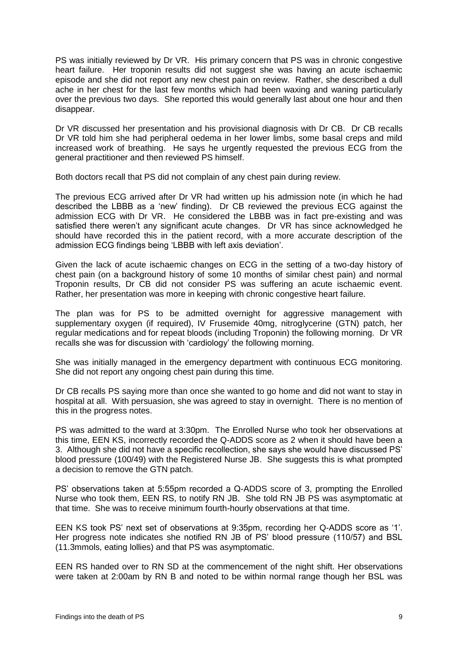PS was initially reviewed by Dr VR. His primary concern that PS was in chronic congestive heart failure. Her troponin results did not suggest she was having an acute ischaemic episode and she did not report any new chest pain on review. Rather, she described a dull ache in her chest for the last few months which had been waxing and waning particularly over the previous two days. She reported this would generally last about one hour and then disappear.

Dr VR discussed her presentation and his provisional diagnosis with Dr CB. Dr CB recalls Dr VR told him she had peripheral oedema in her lower limbs, some basal creps and mild increased work of breathing. He says he urgently requested the previous ECG from the general practitioner and then reviewed PS himself.

Both doctors recall that PS did not complain of any chest pain during review.

The previous ECG arrived after Dr VR had written up his admission note (in which he had described the LBBB as a 'new' finding). Dr CB reviewed the previous ECG against the admission ECG with Dr VR. He considered the LBBB was in fact pre-existing and was satisfied there weren't any significant acute changes. Dr VR has since acknowledged he should have recorded this in the patient record, with a more accurate description of the admission ECG findings being 'LBBB with left axis deviation'.

Given the lack of acute ischaemic changes on ECG in the setting of a two-day history of chest pain (on a background history of some 10 months of similar chest pain) and normal Troponin results, Dr CB did not consider PS was suffering an acute ischaemic event. Rather, her presentation was more in keeping with chronic congestive heart failure.

The plan was for PS to be admitted overnight for aggressive management with supplementary oxygen (if required), IV Frusemide 40mg, nitroglycerine (GTN) patch, her regular medications and for repeat bloods (including Troponin) the following morning. Dr VR recalls she was for discussion with 'cardiology' the following morning.

She was initially managed in the emergency department with continuous ECG monitoring. She did not report any ongoing chest pain during this time.

Dr CB recalls PS saying more than once she wanted to go home and did not want to stay in hospital at all. With persuasion, she was agreed to stay in overnight. There is no mention of this in the progress notes.

PS was admitted to the ward at 3:30pm. The Enrolled Nurse who took her observations at this time, EEN KS, incorrectly recorded the Q-ADDS score as 2 when it should have been a 3. Although she did not have a specific recollection, she says she would have discussed PS' blood pressure (100/49) with the Registered Nurse JB. She suggests this is what prompted a decision to remove the GTN patch.

PS' observations taken at 5:55pm recorded a Q-ADDS score of 3, prompting the Enrolled Nurse who took them, EEN RS, to notify RN JB. She told RN JB PS was asymptomatic at that time. She was to receive minimum fourth-hourly observations at that time.

EEN KS took PS' next set of observations at 9:35pm, recording her Q-ADDS score as '1'. Her progress note indicates she notified RN JB of PS' blood pressure (110/57) and BSL (11.3mmols, eating lollies) and that PS was asymptomatic.

EEN RS handed over to RN SD at the commencement of the night shift. Her observations were taken at 2:00am by RN B and noted to be within normal range though her BSL was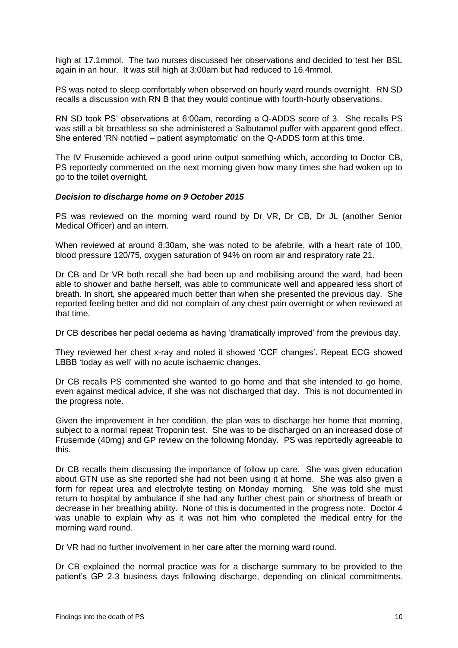high at 17.1mmol. The two nurses discussed her observations and decided to test her BSL again in an hour. It was still high at 3:00am but had reduced to 16.4mmol.

PS was noted to sleep comfortably when observed on hourly ward rounds overnight. RN SD recalls a discussion with RN B that they would continue with fourth-hourly observations.

RN SD took PS' observations at 6:00am, recording a Q-ADDS score of 3. She recalls PS was still a bit breathless so she administered a Salbutamol puffer with apparent good effect. She entered 'RN notified – patient asymptomatic' on the Q-ADDS form at this time.

The IV Frusemide achieved a good urine output something which, according to Doctor CB, PS reportedly commented on the next morning given how many times she had woken up to go to the toilet overnight.

#### *Decision to discharge home on 9 October 2015*

PS was reviewed on the morning ward round by Dr VR, Dr CB, Dr JL (another Senior Medical Officer) and an intern.

When reviewed at around 8:30am, she was noted to be afebrile, with a heart rate of 100, blood pressure 120/75, oxygen saturation of 94% on room air and respiratory rate 21.

Dr CB and Dr VR both recall she had been up and mobilising around the ward, had been able to shower and bathe herself, was able to communicate well and appeared less short of breath. In short, she appeared much better than when she presented the previous day. She reported feeling better and did not complain of any chest pain overnight or when reviewed at that time.

Dr CB describes her pedal oedema as having 'dramatically improved' from the previous day.

They reviewed her chest x-ray and noted it showed 'CCF changes'. Repeat ECG showed LBBB 'today as well' with no acute ischaemic changes.

Dr CB recalls PS commented she wanted to go home and that she intended to go home, even against medical advice, if she was not discharged that day. This is not documented in the progress note.

Given the improvement in her condition, the plan was to discharge her home that morning, subject to a normal repeat Troponin test. She was to be discharged on an increased dose of Frusemide (40mg) and GP review on the following Monday. PS was reportedly agreeable to this.

Dr CB recalls them discussing the importance of follow up care. She was given education about GTN use as she reported she had not been using it at home. She was also given a form for repeat urea and electrolyte testing on Monday morning. She was told she must return to hospital by ambulance if she had any further chest pain or shortness of breath or decrease in her breathing ability. None of this is documented in the progress note. Doctor 4 was unable to explain why as it was not him who completed the medical entry for the morning ward round.

Dr VR had no further involvement in her care after the morning ward round.

Dr CB explained the normal practice was for a discharge summary to be provided to the patient's GP 2-3 business days following discharge, depending on clinical commitments.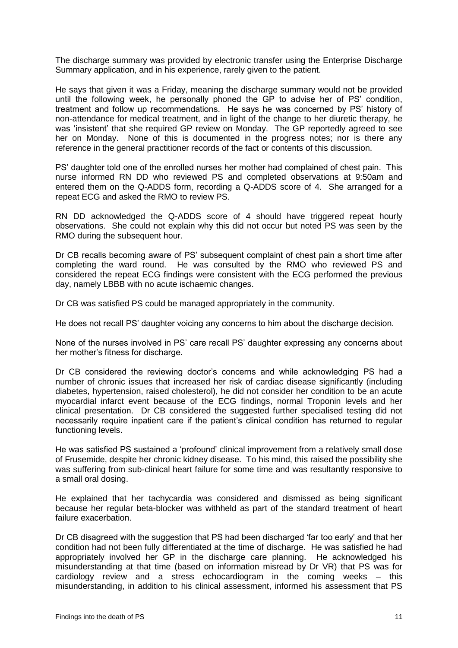The discharge summary was provided by electronic transfer using the Enterprise Discharge Summary application, and in his experience, rarely given to the patient.

He says that given it was a Friday, meaning the discharge summary would not be provided until the following week, he personally phoned the GP to advise her of PS' condition, treatment and follow up recommendations. He says he was concerned by PS' history of non-attendance for medical treatment, and in light of the change to her diuretic therapy, he was 'insistent' that she required GP review on Monday. The GP reportedly agreed to see her on Monday. None of this is documented in the progress notes; nor is there any reference in the general practitioner records of the fact or contents of this discussion.

PS' daughter told one of the enrolled nurses her mother had complained of chest pain. This nurse informed RN DD who reviewed PS and completed observations at 9:50am and entered them on the Q-ADDS form, recording a Q-ADDS score of 4. She arranged for a repeat ECG and asked the RMO to review PS.

RN DD acknowledged the Q-ADDS score of 4 should have triggered repeat hourly observations. She could not explain why this did not occur but noted PS was seen by the RMO during the subsequent hour.

Dr CB recalls becoming aware of PS' subsequent complaint of chest pain a short time after completing the ward round. He was consulted by the RMO who reviewed PS and considered the repeat ECG findings were consistent with the ECG performed the previous day, namely LBBB with no acute ischaemic changes.

Dr CB was satisfied PS could be managed appropriately in the community.

He does not recall PS' daughter voicing any concerns to him about the discharge decision.

None of the nurses involved in PS' care recall PS' daughter expressing any concerns about her mother's fitness for discharge.

Dr CB considered the reviewing doctor's concerns and while acknowledging PS had a number of chronic issues that increased her risk of cardiac disease significantly (including diabetes, hypertension, raised cholesterol), he did not consider her condition to be an acute myocardial infarct event because of the ECG findings, normal Troponin levels and her clinical presentation. Dr CB considered the suggested further specialised testing did not necessarily require inpatient care if the patient's clinical condition has returned to regular functioning levels.

He was satisfied PS sustained a 'profound' clinical improvement from a relatively small dose of Frusemide, despite her chronic kidney disease. To his mind, this raised the possibility she was suffering from sub-clinical heart failure for some time and was resultantly responsive to a small oral dosing.

He explained that her tachycardia was considered and dismissed as being significant because her regular beta-blocker was withheld as part of the standard treatment of heart failure exacerbation.

Dr CB disagreed with the suggestion that PS had been discharged 'far too early' and that her condition had not been fully differentiated at the time of discharge. He was satisfied he had appropriately involved her GP in the discharge care planning. He acknowledged his misunderstanding at that time (based on information misread by Dr VR) that PS was for cardiology review and a stress echocardiogram in the coming weeks – this misunderstanding, in addition to his clinical assessment, informed his assessment that PS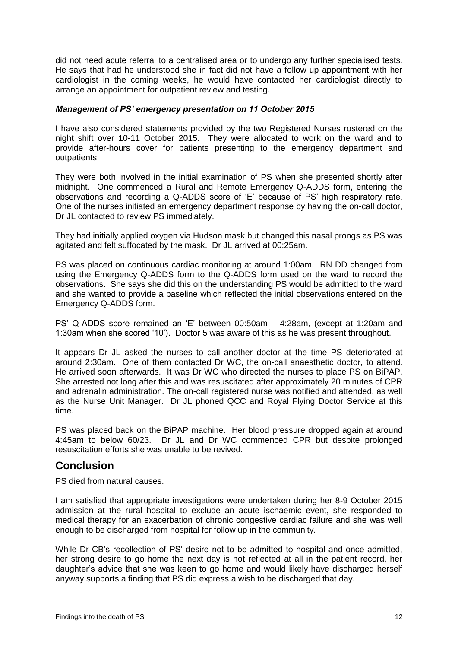did not need acute referral to a centralised area or to undergo any further specialised tests. He says that had he understood she in fact did not have a follow up appointment with her cardiologist in the coming weeks, he would have contacted her cardiologist directly to arrange an appointment for outpatient review and testing.

#### *Management of PS' emergency presentation on 11 October 2015*

I have also considered statements provided by the two Registered Nurses rostered on the night shift over 10-11 October 2015. They were allocated to work on the ward and to provide after-hours cover for patients presenting to the emergency department and outpatients.

They were both involved in the initial examination of PS when she presented shortly after midnight. One commenced a Rural and Remote Emergency Q-ADDS form, entering the observations and recording a Q-ADDS score of 'E' because of PS' high respiratory rate. One of the nurses initiated an emergency department response by having the on-call doctor, Dr JL contacted to review PS immediately.

They had initially applied oxygen via Hudson mask but changed this nasal prongs as PS was agitated and felt suffocated by the mask. Dr JL arrived at 00:25am.

PS was placed on continuous cardiac monitoring at around 1:00am. RN DD changed from using the Emergency Q-ADDS form to the Q-ADDS form used on the ward to record the observations. She says she did this on the understanding PS would be admitted to the ward and she wanted to provide a baseline which reflected the initial observations entered on the Emergency Q-ADDS form.

PS' Q-ADDS score remained an 'E' between 00:50am – 4:28am, (except at 1:20am and 1:30am when she scored '10'). Doctor 5 was aware of this as he was present throughout.

It appears Dr JL asked the nurses to call another doctor at the time PS deteriorated at around 2:30am. One of them contacted Dr WC, the on-call anaesthetic doctor, to attend. He arrived soon afterwards. It was Dr WC who directed the nurses to place PS on BiPAP. She arrested not long after this and was resuscitated after approximately 20 minutes of CPR and adrenalin administration. The on-call registered nurse was notified and attended, as well as the Nurse Unit Manager. Dr JL phoned QCC and Royal Flying Doctor Service at this time.

PS was placed back on the BiPAP machine. Her blood pressure dropped again at around 4:45am to below 60/23. Dr JL and Dr WC commenced CPR but despite prolonged resuscitation efforts she was unable to be revived.

### <span id="page-13-0"></span>**Conclusion**

PS died from natural causes.

I am satisfied that appropriate investigations were undertaken during her 8-9 October 2015 admission at the rural hospital to exclude an acute ischaemic event, she responded to medical therapy for an exacerbation of chronic congestive cardiac failure and she was well enough to be discharged from hospital for follow up in the community.

While Dr CB's recollection of PS' desire not to be admitted to hospital and once admitted, her strong desire to go home the next day is not reflected at all in the patient record, her daughter's advice that she was keen to go home and would likely have discharged herself anyway supports a finding that PS did express a wish to be discharged that day.